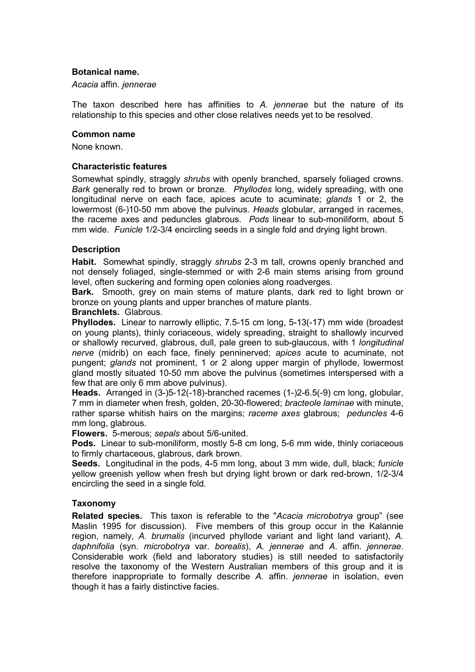# **Botanical name.**

### *Acacia* affin. *jennerae*

The taxon described here has affinities to *A. jennerae* but the nature of its relationship to this species and other close relatives needs yet to be resolved.

#### **Common name**

None known.

### **Characteristic features**

Somewhat spindly, straggly *shrubs* with openly branched, sparsely foliaged crowns. *Bark* generally red to brown or bronze. *Phyllodes* long, widely spreading, with one longitudinal nerve on each face, apices acute to acuminate; *glands* 1 or 2, the lowermost (6-)10-50 mm above the pulvinus. *Heads* globular, arranged in racemes, the raceme axes and peduncles glabrous. *Pods* linear to sub-moniliform, about 5 mm wide. *Funicle* 1/2-3/4 encircling seeds in a single fold and drying light brown.

# **Description**

**Habit.** Somewhat spindly, straggly *shrubs* 2-3 m tall, crowns openly branched and not densely foliaged, single-stemmed or with 2-6 main stems arising from ground level, often suckering and forming open colonies along roadverges.

**Bark.** Smooth, grey on main stems of mature plants, dark red to light brown or bronze on young plants and upper branches of mature plants.

#### **Branchlets.** Glabrous.

**Phyllodes.** Linear to narrowly elliptic, 7.5-15 cm long, 5-13(-17) mm wide (broadest on young plants), thinly coriaceous, widely spreading, straight to shallowly incurved or shallowly recurved, glabrous, dull, pale green to sub-glaucous, with 1 *longitudinal nerve* (midrib) on each face, finely penninerved; *apices* acute to acuminate, not pungent; *glands* not prominent, 1 or 2 along upper margin of phyllode, lowermost gland mostly situated 10-50 mm above the pulvinus (sometimes interspersed with a few that are only 6 mm above pulvinus).

**Heads.** Arranged in (3-)5-12(-18)-branched racemes (1-)2-6.5(-9) cm long, globular, 7 mm in diameter when fresh, golden, 20-30-flowered; *bracteole laminae* with minute, rather sparse whitish hairs on the margins; *raceme axes* glabrous; *peduncles* 4-6 mm long, glabrous.

**Flowers.** 5-merous; *sepals* about 5/6-united.

**Pods.** Linear to sub-moniliform, mostly 5-8 cm long, 5-6 mm wide, thinly coriaceous to firmly chartaceous, glabrous, dark brown.

**Seeds.** Longitudinal in the pods, 4-5 mm long, about 3 mm wide, dull, black; *funicle* yellow greenish yellow when fresh but drying light brown or dark red-brown, 1/2-3/4 encircling the seed in a single fold.

# **Taxonomy**

**Related species.** This taxon is referable to the "*Acacia microbotrya* group" (see Maslin 1995 for discussion). Five members of this group occur in the Kalannie region, namely, *A. brumalis* (incurved phyllode variant and light land variant), *A. daphnifolia* (syn. *microbotrya* var. *borealis*), *A. jennerae* and *A*. affin. *jennerae*. Considerable work (field and laboratory studies) is still needed to satisfactorily resolve the taxonomy of the Western Australian members of this group and it is therefore inappropriate to formally describe *A.* affin. *jennerae* in isolation, even though it has a fairly distinctive facies.